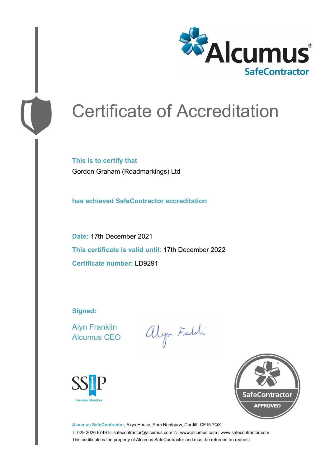

# Certificate of Accreditation

**This is to certify that** Gordon Graham (Roadmarkings) Ltd

**has achieved SafeContractor accreditation**

**Date:** 17th December 2021 **This certificate is valid until:** 17th December 2022 **Certificate number:** LD9291

**Signed:**

Alyn Franklin Alcumus CEO

alyn Faith





**Alcumus SafeContractor,** Axys House, Parc Nantgarw, Cardiff, CF15 7QX T: 029 2026 6749 E: safecontractor@alcumus.com W: www.alcumus.com | www.safecontractor.com This certificate is the property of Alcumus SafeContractor and must be returned on request